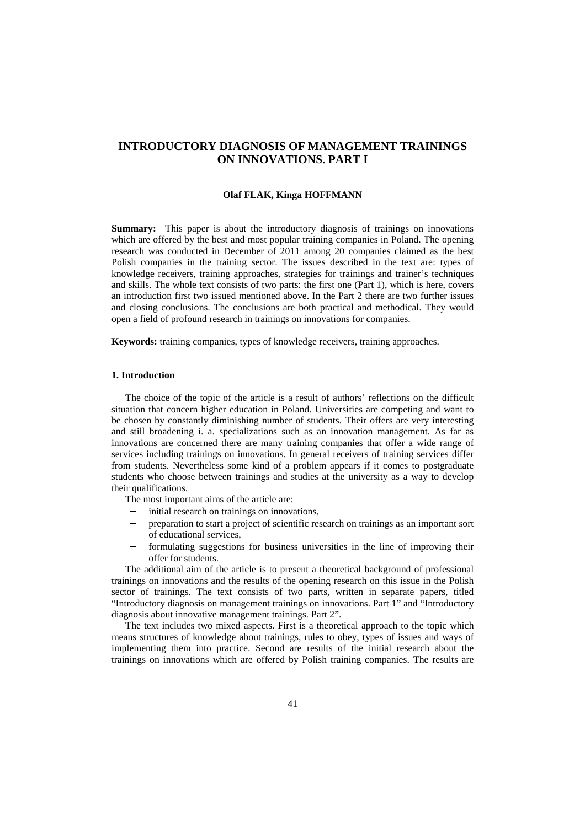# **INTRODUCTORY DIAGNOSIS OF MANAGEMENT TRAININGS ON INNOVATIONS. PART I**

#### **Olaf FLAK, Kinga HOFFMANN**

**Summary:** This paper is about the introductory diagnosis of trainings on innovations which are offered by the best and most popular training companies in Poland. The opening research was conducted in December of 2011 among 20 companies claimed as the best Polish companies in the training sector. The issues described in the text are: types of knowledge receivers, training approaches, strategies for trainings and trainer's techniques and skills. The whole text consists of two parts: the first one (Part 1), which is here, covers an introduction first two issued mentioned above. In the Part 2 there are two further issues and closing conclusions. The conclusions are both practical and methodical. They would open a field of profound research in trainings on innovations for companies.

**Keywords:** training companies, types of knowledge receivers, training approaches.

## **1. Introduction**

The choice of the topic of the article is a result of authors' reflections on the difficult situation that concern higher education in Poland. Universities are competing and want to be chosen by constantly diminishing number of students. Their offers are very interesting and still broadening i. a. specializations such as an innovation management. As far as innovations are concerned there are many training companies that offer a wide range of services including trainings on innovations. In general receivers of training services differ from students. Nevertheless some kind of a problem appears if it comes to postgraduate students who choose between trainings and studies at the university as a way to develop their qualifications.

The most important aims of the article are:

- initial research on trainings on innovations,
- − preparation to start a project of scientific research on trainings as an important sort of educational services,
- formulating suggestions for business universities in the line of improving their offer for students.

The additional aim of the article is to present a theoretical background of professional trainings on innovations and the results of the opening research on this issue in the Polish sector of trainings. The text consists of two parts, written in separate papers, titled "Introductory diagnosis on management trainings on innovations. Part 1" and "Introductory diagnosis about innovative management trainings. Part 2".

The text includes two mixed aspects. First is a theoretical approach to the topic which means structures of knowledge about trainings, rules to obey, types of issues and ways of implementing them into practice. Second are results of the initial research about the trainings on innovations which are offered by Polish training companies. The results are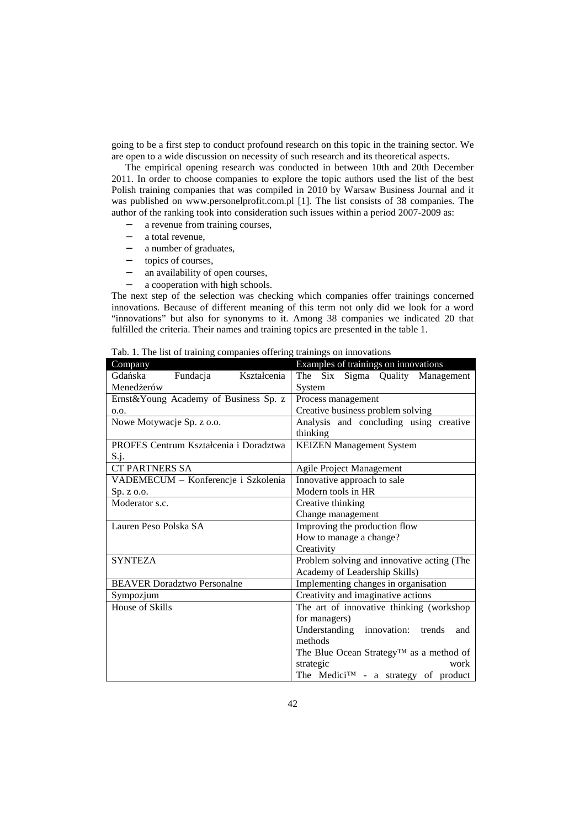going to be a first step to conduct profound research on this topic in the training sector. We are open to a wide discussion on necessity of such research and its theoretical aspects.

The empirical opening research was conducted in between 10th and 20th December 2011. In order to choose companies to explore the topic authors used the list of the best Polish training companies that was compiled in 2010 by Warsaw Business Journal and it was published on www.personelprofit.com.pl [1]. The list consists of 38 companies. The author of the ranking took into consideration such issues within a period 2007-2009 as:

- − a revenue from training courses,
- a total revenue,
- a number of graduates,
- − topics of courses,
- − an availability of open courses,
- a cooperation with high schools.

The next step of the selection was checking which companies offer trainings concerned innovations. Because of different meaning of this term not only did we look for a word "innovations" but also for synonyms to it. Among 38 companies we indicated 20 that fulfilled the criteria. Their names and training topics are presented in the table 1.

| Company                                | Examples of trainings on innovations             |
|----------------------------------------|--------------------------------------------------|
| Gdańska<br>Fundacja<br>Kształcenia     | Six Sigma Quality Management<br>The              |
| Menedżerów                             | System                                           |
| Ernst&Young Academy of Business Sp. z  | Process management                               |
| 0.0.                                   | Creative business problem solving                |
| Nowe Motywacje Sp. z o.o.              | Analysis and concluding using creative           |
|                                        | thinking                                         |
| PROFES Centrum Kształcenia i Doradztwa | <b>KEIZEN Management System</b>                  |
| S.j.                                   |                                                  |
| <b>CT PARTNERS SA</b>                  | Agile Project Management                         |
| VADEMECUM - Konferencje i Szkolenia    | Innovative approach to sale                      |
| Sp. z o.o.                             | Modern tools in HR                               |
| Moderator s.c.                         | Creative thinking                                |
|                                        | Change management                                |
| Lauren Peso Polska SA                  | Improving the production flow                    |
|                                        | How to manage a change?                          |
|                                        | Creativity                                       |
| <b>SYNTEZA</b>                         | Problem solving and innovative acting (The       |
|                                        | Academy of Leadership Skills)                    |
| <b>BEAVER Doradztwo Personalne</b>     | Implementing changes in organisation             |
| Sympozjum                              | Creativity and imaginative actions               |
| House of Skills                        | The art of innovative thinking (workshop         |
|                                        | for managers)                                    |
|                                        | Understanding innovation:<br>trends<br>and       |
|                                        | methods                                          |
|                                        | The Blue Ocean Strategy™ as a method of          |
|                                        | strategic<br>work                                |
|                                        | The Medici <sup>TM</sup> - a strategy of product |

Tab. 1. The list of training companies offering trainings on innovations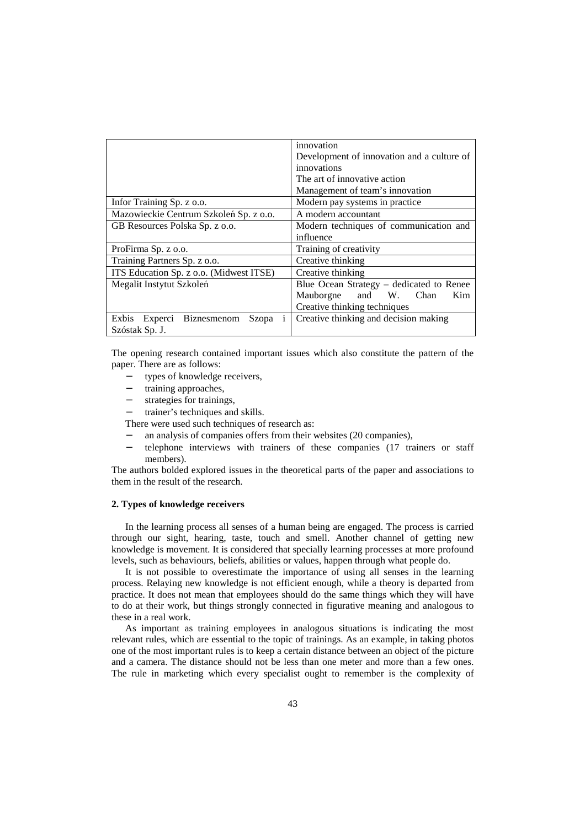|                                                   | innovation                                 |
|---------------------------------------------------|--------------------------------------------|
|                                                   | Development of innovation and a culture of |
|                                                   | innovations                                |
|                                                   | The art of innovative action               |
|                                                   | Management of team's innovation            |
| Infor Training Sp. z o.o.                         | Modern pay systems in practice             |
| Mazowieckie Centrum Szkoleń Sp. z o.o.            | A modern accountant                        |
| GB Resources Polska Sp. z o.o.                    | Modern techniques of communication and     |
|                                                   | influence                                  |
| ProFirma Sp. z o.o.                               | Training of creativity                     |
| Training Partners Sp. z o.o.                      | Creative thinking                          |
| ITS Education Sp. z o.o. (Midwest ITSE)           | Creative thinking                          |
| Megalit Instytut Szkoleń                          | Blue Ocean Strategy – dedicated to Renee   |
|                                                   | and W.<br>Mauborgne<br>Chan<br>Kim         |
|                                                   | Creative thinking techniques               |
| Exbis<br><b>Biznesmenom</b><br>Szopa i<br>Experci | Creative thinking and decision making      |
| Szóstak Sp. J.                                    |                                            |

The opening research contained important issues which also constitute the pattern of the paper. There are as follows:

- types of knowledge receivers,
- training approaches,
- strategies for trainings,
- trainer's techniques and skills.

There were used such techniques of research as:

- − an analysis of companies offers from their websites (20 companies),
- telephone interviews with trainers of these companies (17 trainers or staff members).

The authors bolded explored issues in the theoretical parts of the paper and associations to them in the result of the research.

#### **2. Types of knowledge receivers**

In the learning process all senses of a human being are engaged. The process is carried through our sight, hearing, taste, touch and smell. Another channel of getting new knowledge is movement. It is considered that specially learning processes at more profound levels, such as behaviours, beliefs, abilities or values, happen through what people do.

It is not possible to overestimate the importance of using all senses in the learning process. Relaying new knowledge is not efficient enough, while a theory is departed from practice. It does not mean that employees should do the same things which they will have to do at their work, but things strongly connected in figurative meaning and analogous to these in a real work.

As important as training employees in analogous situations is indicating the most relevant rules, which are essential to the topic of trainings. As an example, in taking photos one of the most important rules is to keep a certain distance between an object of the picture and a camera. The distance should not be less than one meter and more than a few ones. The rule in marketing which every specialist ought to remember is the complexity of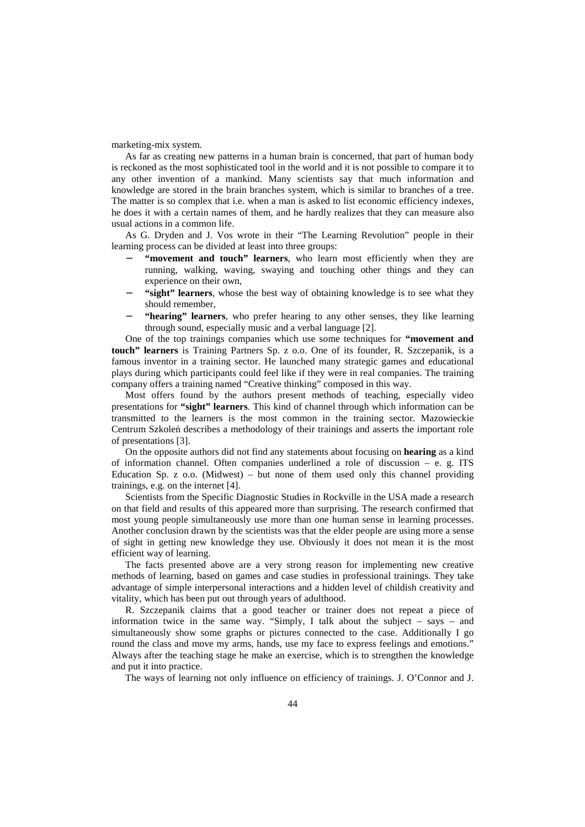marketing-mix system.

As far as creating new patterns in a human brain is concerned, that part of human body is reckoned as the most sophisticated tool in the world and it is not possible to compare it to any other invention of a mankind. Many scientists say that much information and knowledge are stored in the brain branches system, which is similar to branches of a tree. The matter is so complex that i.e. when a man is asked to list economic efficiency indexes, he does it with a certain names of them, and he hardly realizes that they can measure also usual actions in a common life.

As G. Dryden and J. Vos wrote in their "The Learning Revolution" people in their learning process can be divided at least into three groups:

- "movement and touch" learners, who learn most efficiently when they are running, walking, waving, swaying and touching other things and they can experience on their own,
- "sight" learners, whose the best way of obtaining knowledge is to see what they should remember,
- "hearing" learners, who prefer hearing to any other senses, they like learning through sound, especially music and a verbal language [2].

One of the top trainings companies which use some techniques for **"movement and touch" learners** is Training Partners Sp. z o.o. One of its founder, R. Szczepanik, is a famous inventor in a training sector. He launched many strategic games and educational plays during which participants could feel like if they were in real companies. The training company offers a training named "Creative thinking" composed in this way.

Most offers found by the authors present methods of teaching, especially video presentations for **"sight" learners**. This kind of channel through which information can be transmitted to the learners is the most common in the training sector. Mazowieckie Centrum Szkoleń describes a methodology of their trainings and asserts the important role of presentations [3].

On the opposite authors did not find any statements about focusing on **hearing** as a kind of information channel. Often companies underlined a role of discussion  $-$  e. g. ITS Education Sp.  $z$  o.o. (Midwest) – but none of them used only this channel providing trainings, e.g. on the internet [4].

Scientists from the Specific Diagnostic Studies in Rockville in the USA made a research on that field and results of this appeared more than surprising. The research confirmed that most young people simultaneously use more than one human sense in learning processes. Another conclusion drawn by the scientists was that the elder people are using more a sense of sight in getting new knowledge they use. Obviously it does not mean it is the most efficient way of learning.

The facts presented above are a very strong reason for implementing new creative methods of learning, based on games and case studies in professional trainings. They take advantage of simple interpersonal interactions and a hidden level of childish creativity and vitality, which has been put out through years of adulthood.

R. Szczepanik claims that a good teacher or trainer does not repeat a piece of information twice in the same way. "Simply, I talk about the subject – says – and simultaneously show some graphs or pictures connected to the case. Additionally I go round the class and move my arms, hands, use my face to express feelings and emotions." Always after the teaching stage he make an exercise, which is to strengthen the knowledge and put it into practice.

The ways of learning not only influence on efficiency of trainings. J. O'Connor and J.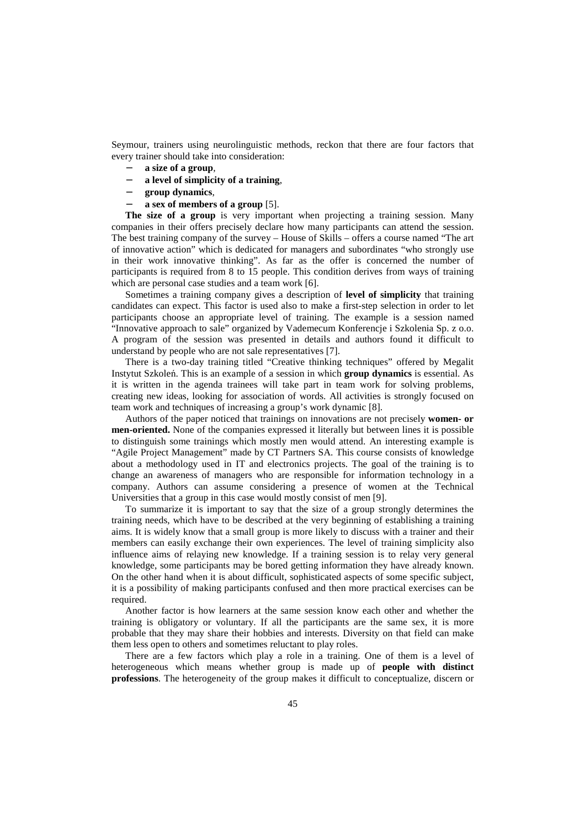Seymour, trainers using neurolinguistic methods, reckon that there are four factors that every trainer should take into consideration:

- − **a size of a group**,
- − **a level of simplicity of a training**,
- − **group dynamics**,
- − **a sex of members of a group** [5].

**The size of a group** is very important when projecting a training session. Many companies in their offers precisely declare how many participants can attend the session. The best training company of the survey – House of Skills – offers a course named "The art of innovative action" which is dedicated for managers and subordinates "who strongly use in their work innovative thinking". As far as the offer is concerned the number of participants is required from 8 to 15 people. This condition derives from ways of training which are personal case studies and a team work [6].

Sometimes a training company gives a description of **level of simplicity** that training candidates can expect. This factor is used also to make a first-step selection in order to let participants choose an appropriate level of training. The example is a session named "Innovative approach to sale" organized by Vademecum Konferencje i Szkolenia Sp. z o.o. A program of the session was presented in details and authors found it difficult to understand by people who are not sale representatives [7].

There is a two-day training titled "Creative thinking techniques" offered by Megalit Instytut Szkoleń. This is an example of a session in which **group dynamics** is essential. As it is written in the agenda trainees will take part in team work for solving problems, creating new ideas, looking for association of words. All activities is strongly focused on team work and techniques of increasing a group's work dynamic [8].

Authors of the paper noticed that trainings on innovations are not precisely **women- or men-oriented.** None of the companies expressed it literally but between lines it is possible to distinguish some trainings which mostly men would attend. An interesting example is "Agile Project Management" made by CT Partners SA. This course consists of knowledge about a methodology used in IT and electronics projects. The goal of the training is to change an awareness of managers who are responsible for information technology in a company. Authors can assume considering a presence of women at the Technical Universities that a group in this case would mostly consist of men [9].

To summarize it is important to say that the size of a group strongly determines the training needs, which have to be described at the very beginning of establishing a training aims. It is widely know that a small group is more likely to discuss with a trainer and their members can easily exchange their own experiences. The level of training simplicity also influence aims of relaying new knowledge. If a training session is to relay very general knowledge, some participants may be bored getting information they have already known. On the other hand when it is about difficult, sophisticated aspects of some specific subject, it is a possibility of making participants confused and then more practical exercises can be required.

Another factor is how learners at the same session know each other and whether the training is obligatory or voluntary. If all the participants are the same sex, it is more probable that they may share their hobbies and interests. Diversity on that field can make them less open to others and sometimes reluctant to play roles.

There are a few factors which play a role in a training. One of them is a level of heterogeneous which means whether group is made up of **people with distinct professions**. The heterogeneity of the group makes it difficult to conceptualize, discern or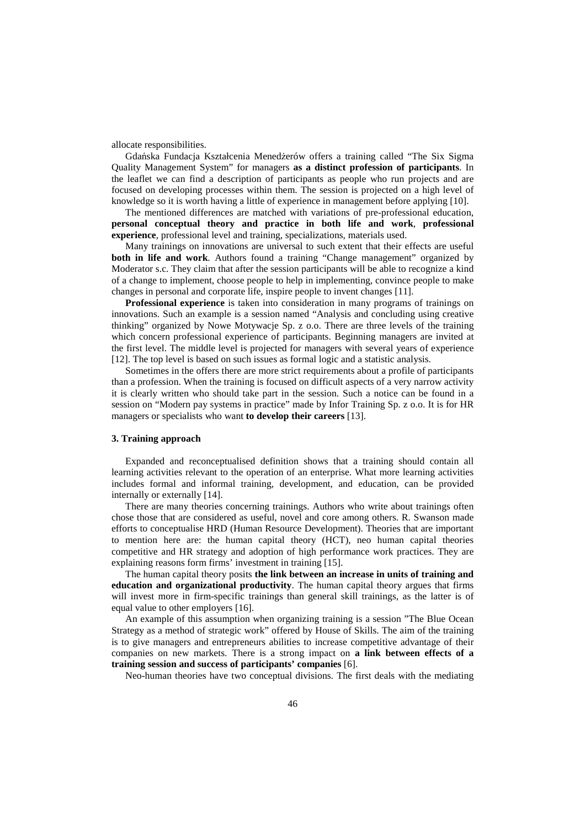allocate responsibilities.

Gdańska Fundacja Kształcenia Menedżerów offers a training called "The Six Sigma Quality Management System" for managers **as a distinct profession of participants**. In the leaflet we can find a description of participants as people who run projects and are focused on developing processes within them. The session is projected on a high level of knowledge so it is worth having a little of experience in management before applying [10].

The mentioned differences are matched with variations of pre-professional education, **personal conceptual theory and practice in both life and work**, **professional experience**, professional level and training, specializations, materials used.

Many trainings on innovations are universal to such extent that their effects are useful **both in life and work**. Authors found a training "Change management" organized by Moderator s.c. They claim that after the session participants will be able to recognize a kind of a change to implement, choose people to help in implementing, convince people to make changes in personal and corporate life, inspire people to invent changes [11].

**Professional experience** is taken into consideration in many programs of trainings on innovations. Such an example is a session named "Analysis and concluding using creative thinking" organized by Nowe Motywacje Sp. z o.o. There are three levels of the training which concern professional experience of participants. Beginning managers are invited at the first level. The middle level is projected for managers with several years of experience [12]. The top level is based on such issues as formal logic and a statistic analysis.

Sometimes in the offers there are more strict requirements about a profile of participants than a profession. When the training is focused on difficult aspects of a very narrow activity it is clearly written who should take part in the session. Such a notice can be found in a session on "Modern pay systems in practice" made by Infor Training Sp. z o.o. It is for HR managers or specialists who want **to develop their careers** [13].

#### **3. Training approach**

Expanded and reconceptualised definition shows that a training should contain all learning activities relevant to the operation of an enterprise. What more learning activities includes formal and informal training, development, and education, can be provided internally or externally [14].

There are many theories concerning trainings. Authors who write about trainings often chose those that are considered as useful, novel and core among others. R. Swanson made efforts to conceptualise HRD (Human Resource Development). Theories that are important to mention here are: the human capital theory (HCT), neo human capital theories competitive and HR strategy and adoption of high performance work practices. They are explaining reasons form firms' investment in training [15].

The human capital theory posits **the link between an increase in units of training and education and organizational productivity**. The human capital theory argues that firms will invest more in firm-specific trainings than general skill trainings, as the latter is of equal value to other employers [16].

An example of this assumption when organizing training is a session "The Blue Ocean Strategy as a method of strategic work" offered by House of Skills. The aim of the training is to give managers and entrepreneurs abilities to increase competitive advantage of their companies on new markets. There is a strong impact on **a link between effects of a training session and success of participants' companies** [6].

Neo-human theories have two conceptual divisions. The first deals with the mediating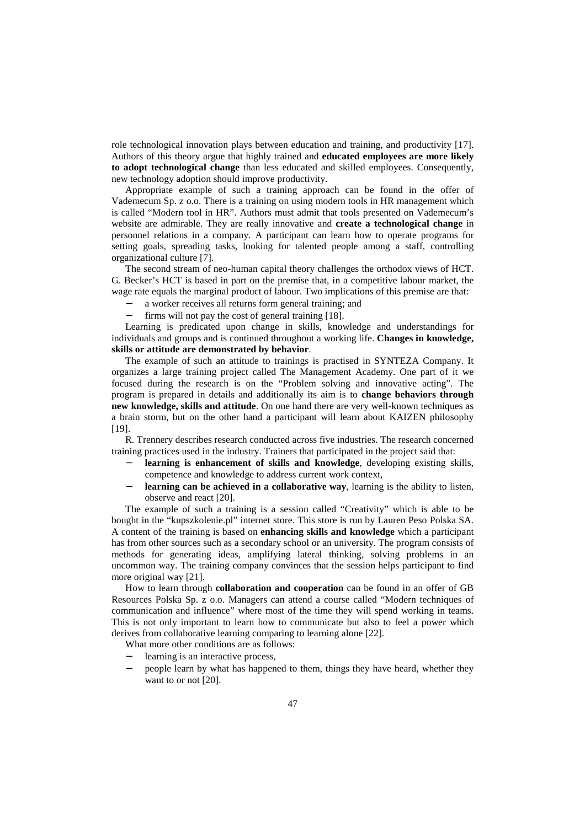role technological innovation plays between education and training, and productivity [17]. Authors of this theory argue that highly trained and **educated employees are more likely to adopt technological change** than less educated and skilled employees. Consequently, new technology adoption should improve productivity.

Appropriate example of such a training approach can be found in the offer of Vademecum Sp. z o.o. There is a training on using modern tools in HR management which is called "Modern tool in HR". Authors must admit that tools presented on Vademecum's website are admirable. They are really innovative and **create a technological change** in personnel relations in a company. A participant can learn how to operate programs for setting goals, spreading tasks, looking for talented people among a staff, controlling organizational culture [7].

The second stream of neo-human capital theory challenges the orthodox views of HCT. G. Becker's HCT is based in part on the premise that, in a competitive labour market, the wage rate equals the marginal product of labour. Two implications of this premise are that:

- a worker receives all returns form general training; and
- firms will not pay the cost of general training [18].

Learning is predicated upon change in skills, knowledge and understandings for individuals and groups and is continued throughout a working life. **Changes in knowledge, skills or attitude are demonstrated by behavior**.

The example of such an attitude to trainings is practised in SYNTEZA Company. It organizes a large training project called The Management Academy. One part of it we focused during the research is on the "Problem solving and innovative acting". The program is prepared in details and additionally its aim is to **change behaviors through new knowledge, skills and attitude**. On one hand there are very well-known techniques as a brain storm, but on the other hand a participant will learn about KAIZEN philosophy [19].

R. Trennery describes research conducted across five industries. The research concerned training practices used in the industry. Trainers that participated in the project said that:

- **learning is enhancement of skills and knowledge**, developing existing skills, competence and knowledge to address current work context,
- **learning can be achieved in a collaborative way**, learning is the ability to listen, observe and react [20].

The example of such a training is a session called "Creativity" which is able to be bought in the "kupszkolenie.pl" internet store. This store is run by Lauren Peso Polska SA. A content of the training is based on **enhancing skills and knowledge** which a participant has from other sources such as a secondary school or an university. The program consists of methods for generating ideas, amplifying lateral thinking, solving problems in an uncommon way. The training company convinces that the session helps participant to find more original way [21].

How to learn through **collaboration and cooperation** can be found in an offer of GB Resources Polska Sp. z o.o. Managers can attend a course called "Modern techniques of communication and influence" where most of the time they will spend working in teams. This is not only important to learn how to communicate but also to feel a power which derives from collaborative learning comparing to learning alone [22].

What more other conditions are as follows:

- learning is an interactive process,
- people learn by what has happened to them, things they have heard, whether they want to or not [20].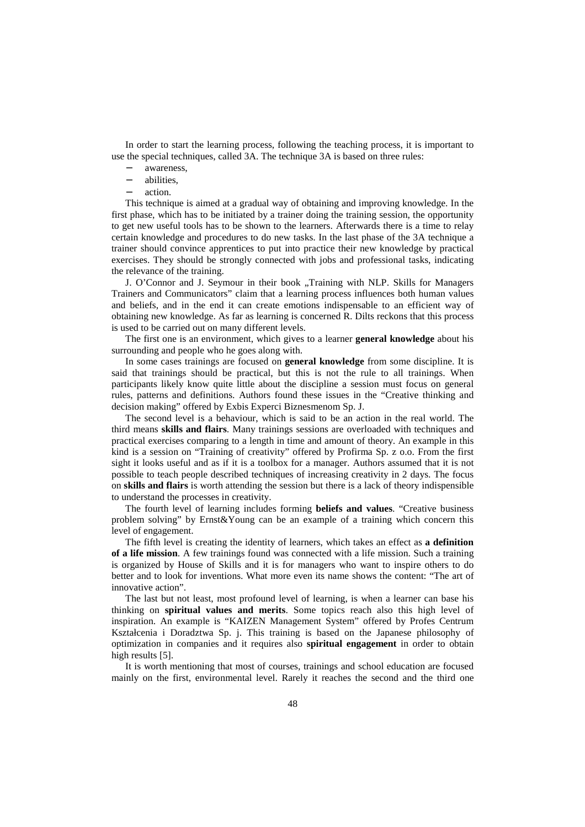In order to start the learning process, following the teaching process, it is important to use the special techniques, called 3A. The technique 3A is based on three rules:

- awareness.
- − abilities,
- − action.

This technique is aimed at a gradual way of obtaining and improving knowledge. In the first phase, which has to be initiated by a trainer doing the training session, the opportunity to get new useful tools has to be shown to the learners. Afterwards there is a time to relay certain knowledge and procedures to do new tasks. In the last phase of the 3A technique a trainer should convince apprentices to put into practice their new knowledge by practical exercises. They should be strongly connected with jobs and professional tasks, indicating the relevance of the training.

J. O'Connor and J. Seymour in their book "Training with NLP. Skills for Managers Trainers and Communicators" claim that a learning process influences both human values and beliefs, and in the end it can create emotions indispensable to an efficient way of obtaining new knowledge. As far as learning is concerned R. Dilts reckons that this process is used to be carried out on many different levels.

The first one is an environment, which gives to a learner **general knowledge** about his surrounding and people who he goes along with.

In some cases trainings are focused on **general knowledge** from some discipline. It is said that trainings should be practical, but this is not the rule to all trainings. When participants likely know quite little about the discipline a session must focus on general rules, patterns and definitions. Authors found these issues in the "Creative thinking and decision making" offered by Exbis Experci Biznesmenom Sp. J.

The second level is a behaviour, which is said to be an action in the real world. The third means **skills and flairs**. Many trainings sessions are overloaded with techniques and practical exercises comparing to a length in time and amount of theory. An example in this kind is a session on "Training of creativity" offered by Profirma Sp. z o.o. From the first sight it looks useful and as if it is a toolbox for a manager. Authors assumed that it is not possible to teach people described techniques of increasing creativity in 2 days. The focus on **skills and flairs** is worth attending the session but there is a lack of theory indispensible to understand the processes in creativity.

The fourth level of learning includes forming **beliefs and values**. "Creative business problem solving" by Ernst&Young can be an example of a training which concern this level of engagement.

The fifth level is creating the identity of learners, which takes an effect as **a definition of a life mission**. A few trainings found was connected with a life mission. Such a training is organized by House of Skills and it is for managers who want to inspire others to do better and to look for inventions. What more even its name shows the content: "The art of innovative action".

The last but not least, most profound level of learning, is when a learner can base his thinking on **spiritual values and merits**. Some topics reach also this high level of inspiration. An example is "KAIZEN Management System" offered by Profes Centrum Kształcenia i Doradztwa Sp. j. This training is based on the Japanese philosophy of optimization in companies and it requires also **spiritual engagement** in order to obtain high results [5].

It is worth mentioning that most of courses, trainings and school education are focused mainly on the first, environmental level. Rarely it reaches the second and the third one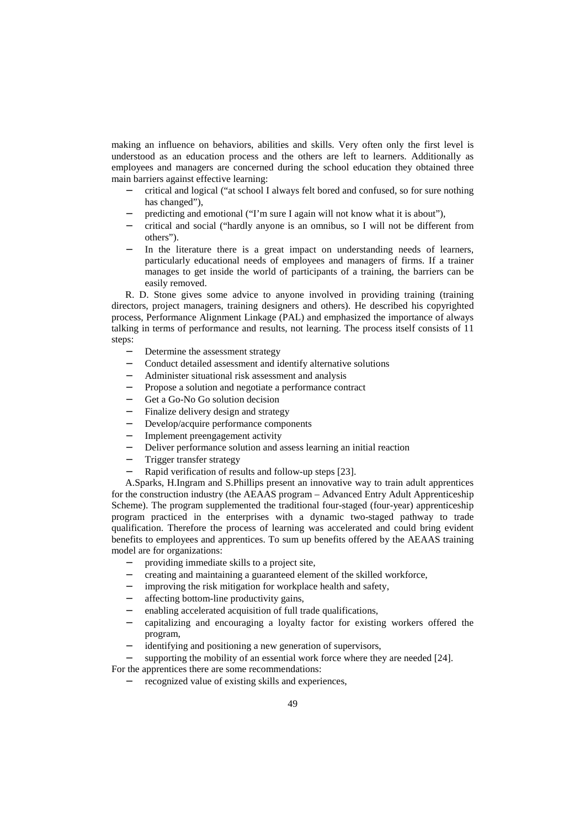making an influence on behaviors, abilities and skills. Very often only the first level is understood as an education process and the others are left to learners. Additionally as employees and managers are concerned during the school education they obtained three main barriers against effective learning:

- − critical and logical ("at school I always felt bored and confused, so for sure nothing has changed"),
- predicting and emotional ("I'm sure I again will not know what it is about"),
- − critical and social ("hardly anyone is an omnibus, so I will not be different from others").
- In the literature there is a great impact on understanding needs of learners, particularly educational needs of employees and managers of firms. If a trainer manages to get inside the world of participants of a training, the barriers can be easily removed.

R. D. Stone gives some advice to anyone involved in providing training (training directors, project managers, training designers and others). He described his copyrighted process, Performance Alignment Linkage (PAL) and emphasized the importance of always talking in terms of performance and results, not learning. The process itself consists of 11 steps:

- Determine the assessment strategy
- − Conduct detailed assessment and identify alternative solutions
- − Administer situational risk assessment and analysis
- Propose a solution and negotiate a performance contract
- Get a Go-No Go solution decision
- Finalize delivery design and strategy
- − Develop/acquire performance components
- Implement preengagement activity
- Deliver performance solution and assess learning an initial reaction
- − Trigger transfer strategy
- − Rapid verification of results and follow-up steps [23].

A.Sparks, H.Ingram and S.Phillips present an innovative way to train adult apprentices for the construction industry (the AEAAS program – Advanced Entry Adult Apprenticeship Scheme). The program supplemented the traditional four-staged (four-year) apprenticeship program practiced in the enterprises with a dynamic two-staged pathway to trade qualification. Therefore the process of learning was accelerated and could bring evident benefits to employees and apprentices. To sum up benefits offered by the AEAAS training model are for organizations:

- − providing immediate skills to a project site,
- − creating and maintaining a guaranteed element of the skilled workforce,
- − improving the risk mitigation for workplace health and safety,
- affecting bottom-line productivity gains,
- enabling accelerated acquisition of full trade qualifications,
- − capitalizing and encouraging a loyalty factor for existing workers offered the program,
- identifying and positioning a new generation of supervisors,
- supporting the mobility of an essential work force where they are needed [24].

For the apprentices there are some recommendations:

recognized value of existing skills and experiences,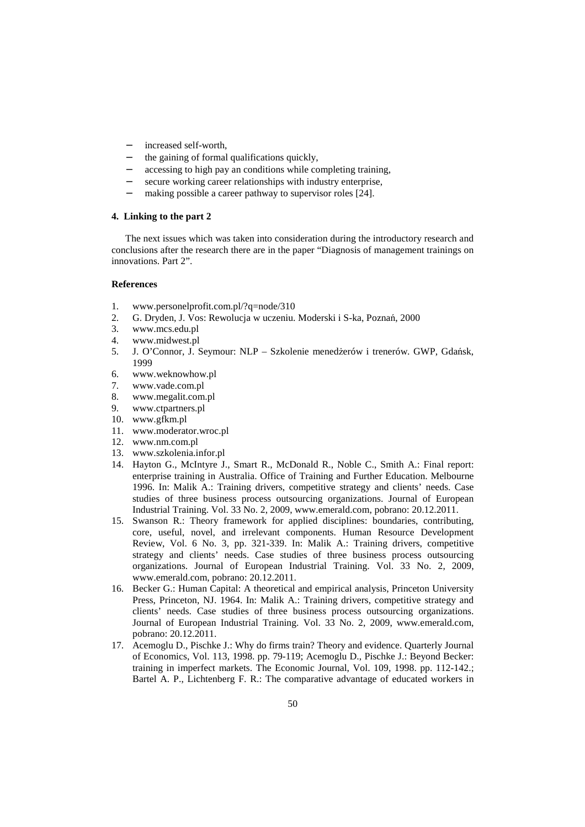- increased self-worth,
- the gaining of formal qualifications quickly,
- accessing to high pay an conditions while completing training,
- secure working career relationships with industry enterprise,
- making possible a career pathway to supervisor roles [24].

## **4. Linking to the part 2**

The next issues which was taken into consideration during the introductory research and conclusions after the research there are in the paper "Diagnosis of management trainings on innovations. Part 2".

## **References**

- 1. www.personelprofit.com.pl/?q=node/310
- 2. G. Dryden, J. Vos: Rewolucja w uczeniu. Moderski i S-ka, Poznań, 2000
- www.mcs.edu.pl
- 4. www.midwest.pl
- 5. J. O'Connor, J. Seymour: NLP Szkolenie menedżerów i trenerów. GWP, Gdańsk, 1999
- 6. www.weknowhow.pl
- 7. www.vade.com.pl
- 8. www.megalit.com.pl
- 9. www.ctpartners.pl
- 10. www.gfkm.pl
- 11. www.moderator.wroc.pl
- 12. www.nm.com.pl
- 13. www.szkolenia.infor.pl
- 14. Hayton G., McIntyre J., Smart R., McDonald R., Noble C., Smith A.: Final report: enterprise training in Australia. Office of Training and Further Education. Melbourne 1996. In: Malik A.: Training drivers, competitive strategy and clients' needs. Case studies of three business process outsourcing organizations. Journal of European Industrial Training. Vol. 33 No. 2, 2009, www.emerald.com, pobrano: 20.12.2011.
- 15. Swanson R.: Theory framework for applied disciplines: boundaries, contributing, core, useful, novel, and irrelevant components. Human Resource Development Review, Vol. 6 No. 3, pp. 321-339. In: Malik A.: Training drivers, competitive strategy and clients' needs. Case studies of three business process outsourcing organizations. Journal of European Industrial Training. Vol. 33 No. 2, 2009, www.emerald.com, pobrano: 20.12.2011.
- 16. Becker G.: Human Capital: A theoretical and empirical analysis, Princeton University Press, Princeton, NJ. 1964. In: Malik A.: Training drivers, competitive strategy and clients' needs. Case studies of three business process outsourcing organizations. Journal of European Industrial Training. Vol. 33 No. 2, 2009, www.emerald.com, pobrano: 20.12.2011.
- 17. Acemoglu D., Pischke J.: Why do firms train? Theory and evidence. Quarterly Journal of Economics, Vol. 113, 1998. pp. 79-119; Acemoglu D., Pischke J.: Beyond Becker: training in imperfect markets. The Economic Journal, Vol. 109, 1998. pp. 112-142.; Bartel A. P., Lichtenberg F. R.: The comparative advantage of educated workers in